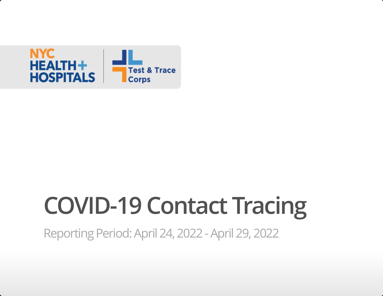

# **COVID-19 Contact Tracing**

Reporting Period: April 24, 2022 - April 29, 2022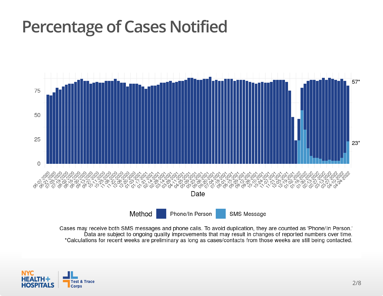#### **Percentage of Cases Notified**



Cases may receive both SMS messages and phone calls. To avoid duplication, they are counted as 'Phone/In Person.' Data are subject to ongoing quality improvements that may result in changes of reported numbers over time. \*Calculations for recent weeks are preliminary as long as cases/contacts from those weeks are still being contacted.

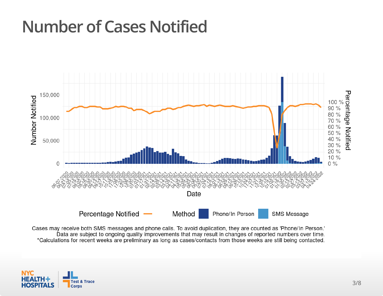# **Number of Cases Notified**



Cases may receive both SMS messages and phone calls. To avoid duplication, they are counted as 'Phone/In Person.' Data are subject to ongoing quality improvements that may result in changes of reported numbers over time. \*Calculations for recent weeks are preliminary as long as cases/contacts from those weeks are still being contacted.

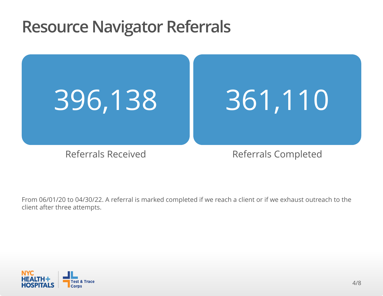#### **Resource Navigator Referrals**



From 06/01/20 to 04/30/22. A referral is marked completed if we reach a client or if we exhaust outreach to the client after three attempts.

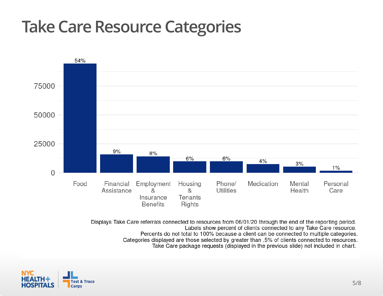# **Take Care Resource Categories**



Displays Take Care referrals connected to resources from 06/01/20 through the end of the reporting period. Labels show percent of clients connected to any Take Care resource. Percents do not total to 100% because a client can be connected to multiple categories. Categories displayed are those selected by greater than .5% of clients connected to resources. Take Care package requests (displayed in the previous slide) not included in chart.

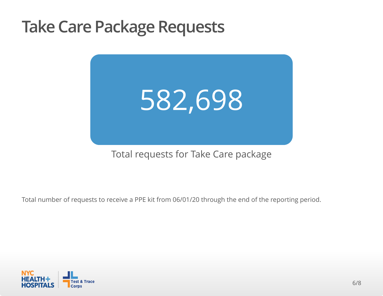#### **Take Care Package Requests**



#### Total requests for Take Care package

Total number of requests to receive a PPE kit from 06/01/20 through the end of the reporting period.

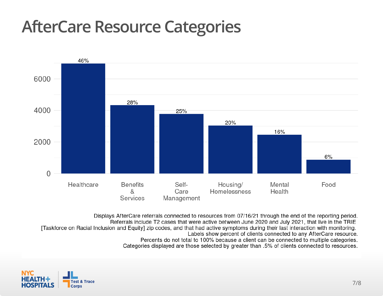# **AfterCare Resource Categories**



Displays AfterCare referrals connected to resources from 07/16/21 through the end of the reporting period. Referrals include T2 cases that were active between June 2020 and July 2021, that live in the TRIE [Taskforce on Racial Inclusion and Equity] zip codes, and that had active symptoms during their last interaction with monitoring. Labels show percent of clients connected to any AfterCare resource. Percents do not total to 100% because a client can be connected to multiple categories. Categories displayed are those selected by greater than .5% of clients connected to resources.